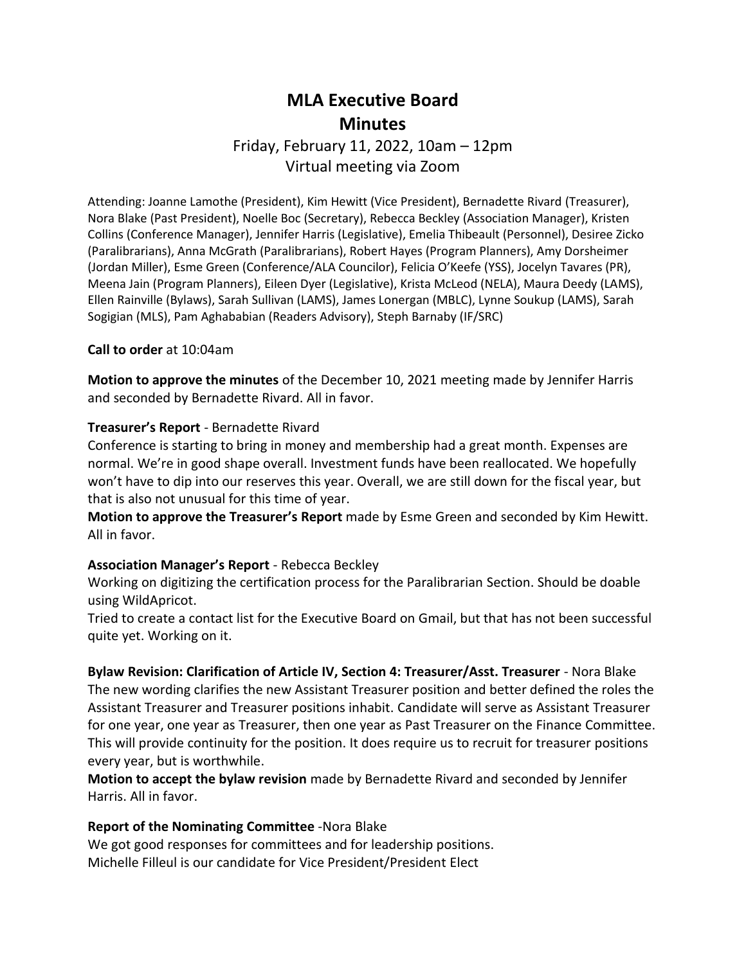# **MLA Executive Board Minutes**

# Friday, February 11, 2022, 10am – 12pm Virtual meeting via Zoom

Attending: Joanne Lamothe (President), Kim Hewitt (Vice President), Bernadette Rivard (Treasurer), Nora Blake (Past President), Noelle Boc (Secretary), Rebecca Beckley (Association Manager), Kristen Collins (Conference Manager), Jennifer Harris (Legislative), Emelia Thibeault (Personnel), Desiree Zicko (Paralibrarians), Anna McGrath (Paralibrarians), Robert Hayes (Program Planners), Amy Dorsheimer (Jordan Miller), Esme Green (Conference/ALA Councilor), Felicia O'Keefe (YSS), Jocelyn Tavares (PR), Meena Jain (Program Planners), Eileen Dyer (Legislative), Krista McLeod (NELA), Maura Deedy (LAMS), Ellen Rainville (Bylaws), Sarah Sullivan (LAMS), James Lonergan (MBLC), Lynne Soukup (LAMS), Sarah Sogigian (MLS), Pam Aghababian (Readers Advisory), Steph Barnaby (IF/SRC)

## **Call to order** at 10:04am

**Motion to approve the minutes** of the December 10, 2021 meeting made by Jennifer Harris and seconded by Bernadette Rivard. All in favor.

#### **Treasurer's Report** - Bernadette Rivard

Conference is starting to bring in money and membership had a great month. Expenses are normal. We're in good shape overall. Investment funds have been reallocated. We hopefully won't have to dip into our reserves this year. Overall, we are still down for the fiscal year, but that is also not unusual for this time of year.

**Motion to approve the Treasurer's Report** made by Esme Green and seconded by Kim Hewitt. All in favor.

## **Association Manager's Report** - Rebecca Beckley

Working on digitizing the certification process for the Paralibrarian Section. Should be doable using WildApricot.

Tried to create a contact list for the Executive Board on Gmail, but that has not been successful quite yet. Working on it.

**Bylaw Revision: Clarification of Article IV, Section 4: Treasurer/Asst. Treasurer** - Nora Blake The new wording clarifies the new Assistant Treasurer position and better defined the roles the Assistant Treasurer and Treasurer positions inhabit. Candidate will serve as Assistant Treasurer for one year, one year as Treasurer, then one year as Past Treasurer on the Finance Committee. This will provide continuity for the position. It does require us to recruit for treasurer positions every year, but is worthwhile.

**Motion to accept the bylaw revision** made by Bernadette Rivard and seconded by Jennifer Harris. All in favor.

## **Report of the Nominating Committee** -Nora Blake

We got good responses for committees and for leadership positions. Michelle Filleul is our candidate for Vice President/President Elect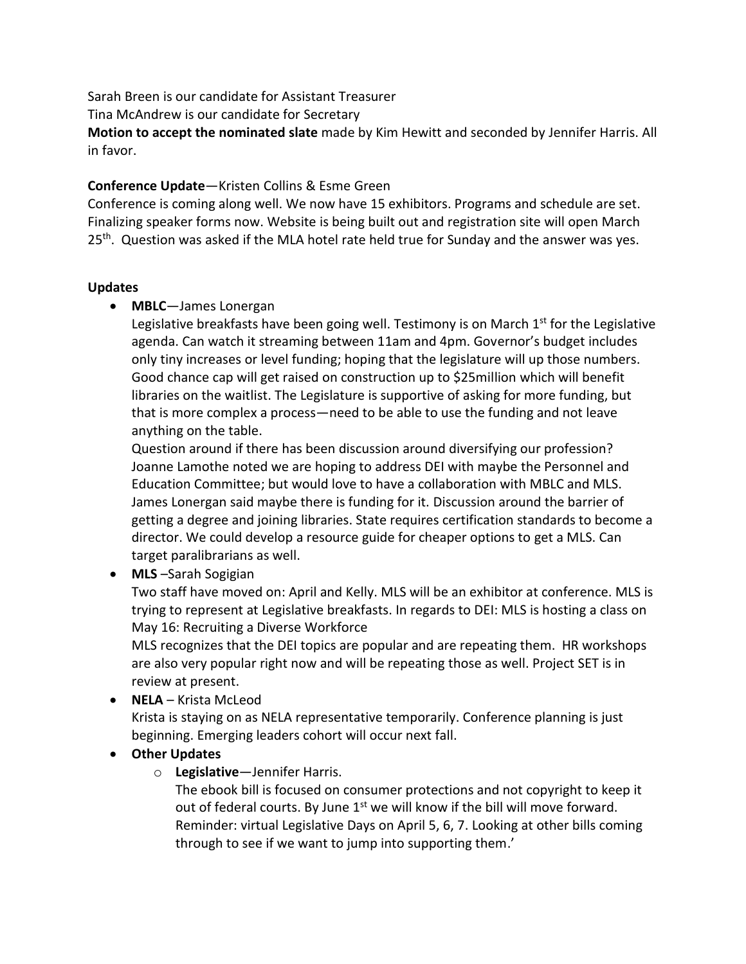Sarah Breen is our candidate for Assistant Treasurer

Tina McAndrew is our candidate for Secretary

**Motion to accept the nominated slate** made by Kim Hewitt and seconded by Jennifer Harris. All in favor.

# **Conference Update**—Kristen Collins & Esme Green

Conference is coming along well. We now have 15 exhibitors. Programs and schedule are set. Finalizing speaker forms now. Website is being built out and registration site will open March 25<sup>th</sup>. Question was asked if the MLA hotel rate held true for Sunday and the answer was yes.

# **Updates**

• **MBLC**—James Lonergan

Legislative breakfasts have been going well. Testimony is on March  $1<sup>st</sup>$  for the Legislative agenda. Can watch it streaming between 11am and 4pm. Governor's budget includes only tiny increases or level funding; hoping that the legislature will up those numbers. Good chance cap will get raised on construction up to \$25million which will benefit libraries on the waitlist. The Legislature is supportive of asking for more funding, but that is more complex a process—need to be able to use the funding and not leave anything on the table.

Question around if there has been discussion around diversifying our profession? Joanne Lamothe noted we are hoping to address DEI with maybe the Personnel and Education Committee; but would love to have a collaboration with MBLC and MLS. James Lonergan said maybe there is funding for it. Discussion around the barrier of getting a degree and joining libraries. State requires certification standards to become a director. We could develop a resource guide for cheaper options to get a MLS. Can target paralibrarians as well.

• **MLS** –Sarah Sogigian

Two staff have moved on: April and Kelly. MLS will be an exhibitor at conference. MLS is trying to represent at Legislative breakfasts. In regards to DEI: MLS is hosting a class on May 16: Recruiting a Diverse Workforce

MLS recognizes that the DEI topics are popular and are repeating them. HR workshops are also very popular right now and will be repeating those as well. Project SET is in review at present.

• **NELA** – Krista McLeod

Krista is staying on as NELA representative temporarily. Conference planning is just beginning. Emerging leaders cohort will occur next fall.

# • **Other Updates**

o **Legislative**—Jennifer Harris.

The ebook bill is focused on consumer protections and not copyright to keep it out of federal courts. By June 1<sup>st</sup> we will know if the bill will move forward. Reminder: virtual Legislative Days on April 5, 6, 7. Looking at other bills coming through to see if we want to jump into supporting them.'